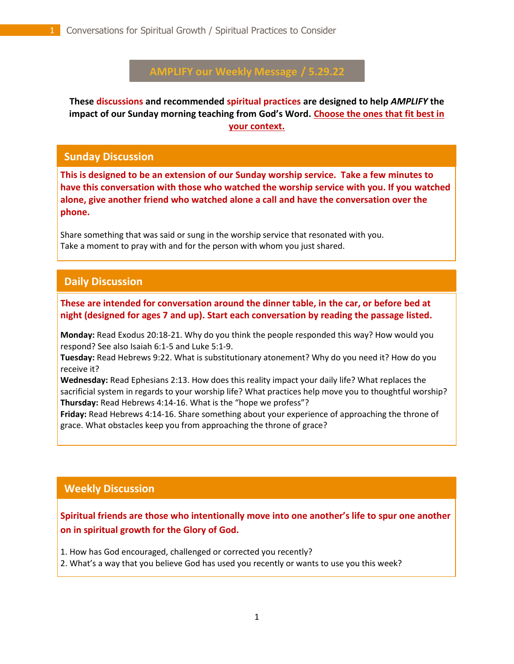# **AMPLIFY our Weekly Message / 5.29.22**

**These discussions and recommended spiritual practices are designed to help** *AMPLIFY* **the impact of our Sunday morning teaching from God's Word. Choose the ones that fit best in your context.**

#### **Sunday Discussion**

**This is designed to be an extension of our Sunday worship service. Take a few minutes to have this conversation with those who watched the worship service with you. If you watched alone, give another friend who watched alone a call and have the conversation over the phone.**

Share something that was said or sung in the worship service that resonated with you. Take a moment to pray with and for the person with whom you just shared.

## **Daily Discussion**

. **These are intended for conversation around the dinner table, in the car, or before bed at night (designed for ages 7 and up). Start each conversation by reading the passage listed.**

**Monday:** Read Exodus 20:18-21. Why do you think the people responded this way? How would you respond? See also Isaiah 6:1-5 and Luke 5:1-9.

**Tuesday:** Read Hebrews 9:22. What is substitutionary atonement? Why do you need it? How do you receive it?

**Wednesday:** Read Ephesians 2:13. How does this reality impact your daily life? What replaces the sacrificial system in regards to your worship life? What practices help move you to thoughtful worship? **Thursday:** Read Hebrews 4:14-16. What is the "hope we profess"?

**Friday:** Read Hebrews 4:14-16. Share something about your experience of approaching the throne of grace. What obstacles keep you from approaching the throne of grace?

### **Weekly Discussion**

**Spiritual friends are those who intentionally move into one another's life to spur one another on in spiritual growth for the Glory of God.** 

1. How has God encouraged, challenged or corrected you recently?

2. What's a way that you believe God has used you recently or wants to use you this week?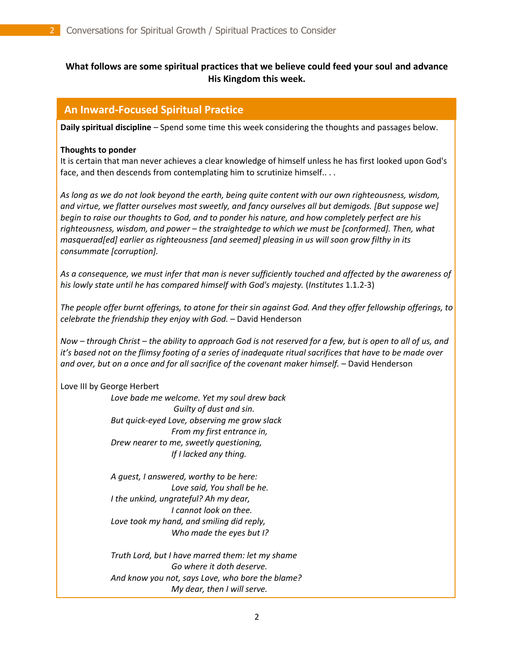### **What follows are some spiritual practices that we believe could feed your soul and advance His Kingdom this week.**

#### **An Inward-Focused Spiritual Practice**

**Daily spiritual discipline** – Spend some time this week considering the thoughts and passages below.

#### **Thoughts to ponder**

It is certain that man never achieves a clear knowledge of himself unless he has first looked upon God's face, and then descends from contemplating him to scrutinize himself.. . .

*As long as we do not look beyond the earth, being quite content with our own righteousness, wisdom, and virtue, we flatter ourselves most sweetly, and fancy ourselves all but demigods. [But suppose we] begin to raise our thoughts to God, and to ponder his nature, and how completely perfect are his righteousness, wisdom, and power – the straightedge to which we must be [conformed]. Then, what masquerad[ed] earlier as righteousness [and seemed] pleasing in us will soon grow filthy in its consummate [corruption].*

*As a consequence, we must infer that man is never sufficiently touched and affected by the awareness of his lowly state until he has compared himself with God's majesty.* (*Institutes* 1.1.2-3)

*The people offer burnt offerings, to atone for their sin against God. And they offer fellowship offerings, to celebrate the friendship they enjoy with God.* – David Henderson

*Now – through Christ – the ability to approach God is not reserved for a few, but is open to all of us, and it's based not on the flimsy footing of a series of inadequate ritual sacrifices that have to be made over and over, but on a once and for all sacrifice of the covenant maker himself.* – David Henderson

#### Love III by George Herbert

*Love bade me welcome. Yet my soul drew back Guilty of dust and sin. But quick-eyed Love, observing me grow slack From my first entrance in, Drew nearer to me, sweetly questioning, If I lacked any thing.*

*A guest, I answered, worthy to be here: Love said, You shall be he. I the unkind, ungrateful? Ah my dear, I cannot look on thee. Love took my hand, and smiling did reply, Who made the eyes but I?*

*Truth Lord, but I have marred them: let my shame Go where it doth deserve. And know you not, says Love, who bore the blame? My dear, then I will serve.*